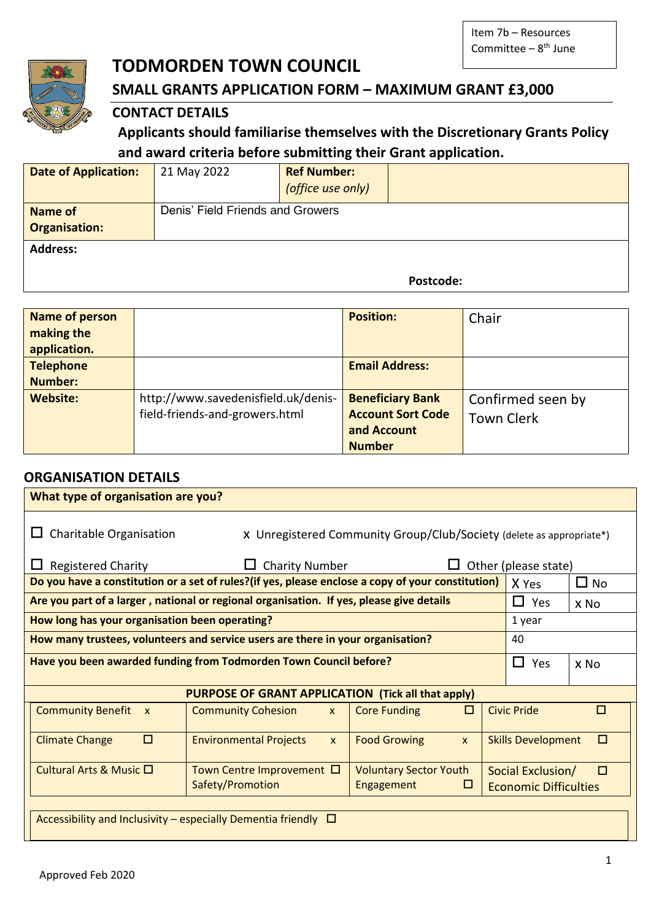

# **TODMORDEN TOWN COUNCIL**

# **SMALL GRANTS APPLICATION FORM – MAXIMUM GRANT £3,000**

## **CONTACT DETAILS**

# **Applicants should familiarise themselves with the Discretionary Grants Policy and award criteria before submitting their Grant application.**

| <b>Date of Application:</b>            | 21 May 2022                      | <b>Ref Number:</b><br>(office use only) |  |
|----------------------------------------|----------------------------------|-----------------------------------------|--|
| <b>Name of</b><br><b>Organisation:</b> | Denis' Field Friends and Growers |                                         |  |
| <b>Address:</b>                        |                                  |                                         |  |

#### **Postcode:**

| <b>Name of person</b> |                                     | <b>Position:</b>         | Chair             |
|-----------------------|-------------------------------------|--------------------------|-------------------|
| making the            |                                     |                          |                   |
| application.          |                                     |                          |                   |
| <b>Telephone</b>      |                                     | <b>Email Address:</b>    |                   |
| <b>Number:</b>        |                                     |                          |                   |
| <b>Website:</b>       | http://www.savedenisfield.uk/denis- | <b>Beneficiary Bank</b>  | Confirmed seen by |
|                       | field-friends-and-growers.html      | <b>Account Sort Code</b> | <b>Town Clerk</b> |
|                       |                                     | and Account              |                   |
|                       |                                     | <b>Number</b>            |                   |

## **ORGANISATION DETAILS**

| What type of organisation are you?             |                                                                                                   |                                                                      |   |                                                   |              |
|------------------------------------------------|---------------------------------------------------------------------------------------------------|----------------------------------------------------------------------|---|---------------------------------------------------|--------------|
| Charitable Organisation                        |                                                                                                   | X Unregistered Community Group/Club/Society (delete as appropriate*) |   |                                                   |              |
| <b>Registered Charity</b>                      | <b>Charity Number</b>                                                                             |                                                                      |   | Other (please state)                              |              |
|                                                | Do you have a constitution or a set of rules?(if yes, please enclose a copy of your constitution) |                                                                      |   | X Yes                                             | $\square$ No |
|                                                | Are you part of a larger, national or regional organisation. If yes, please give details          |                                                                      |   | П<br>Yes                                          | x No         |
| How long has your organisation been operating? |                                                                                                   |                                                                      |   | 1 year                                            |              |
|                                                | How many trustees, volunteers and service users are there in your organisation?                   |                                                                      |   | 40                                                |              |
|                                                | Have you been awarded funding from Todmorden Town Council before?                                 |                                                                      |   | П<br>Yes                                          | x No         |
|                                                | <b>PURPOSE OF GRANT APPLICATION (Tick all that apply)</b>                                         |                                                                      |   |                                                   |              |
| <b>Community Benefit x</b>                     | <b>Community Cohesion</b><br>$\mathsf{x}$                                                         | <b>Core Funding</b>                                                  | □ | <b>Civic Pride</b>                                | П            |
| □<br><b>Climate Change</b>                     | <b>Environmental Projects</b><br>$\mathsf{x}$                                                     | <b>Food Growing</b><br>$\mathsf{x}$                                  |   | <b>Skills Development</b>                         | п            |
| Cultural Arts & Music □                        | Town Centre Improvement $\Box$<br>Safety/Promotion                                                | <b>Voluntary Sector Youth</b><br>Engagement                          | ш | Social Exclusion/<br><b>Economic Difficulties</b> | п            |
|                                                | Accessibility and Inclusivity – especially Dementia friendly $\Box$                               |                                                                      |   |                                                   |              |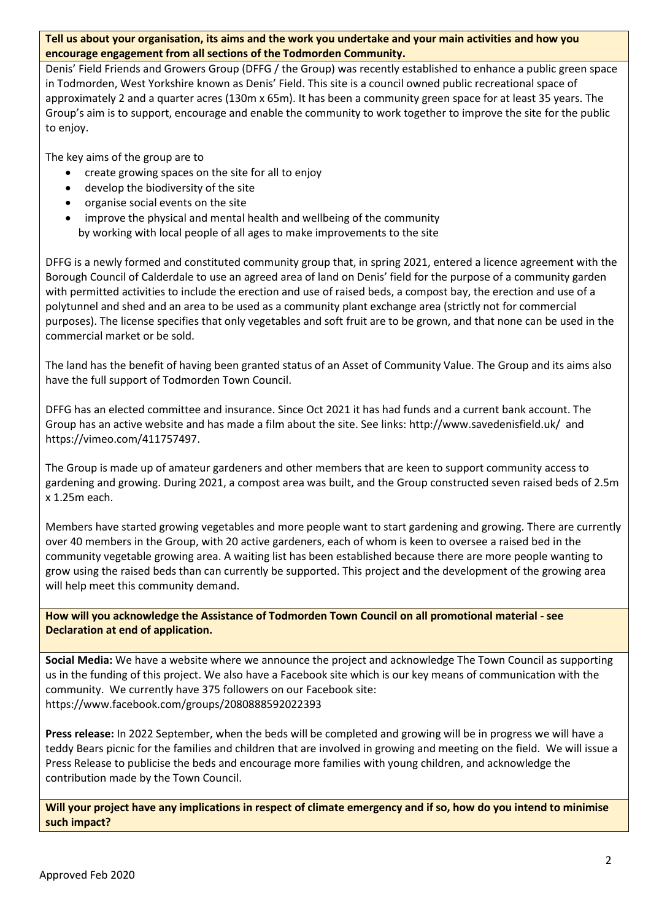#### **Tell us about your organisation, its aims and the work you undertake and your main activities and how you encourage engagement from all sections of the Todmorden Community.**

Denis' Field Friends and Growers Group (DFFG / the Group) was recently established to enhance a public green space in Todmorden, West Yorkshire known as Denis' Field. This site is a council owned public recreational space of approximately 2 and a quarter acres (130m x 65m). It has been a community green space for at least 35 years. The Group's aim is to support, encourage and enable the community to work together to improve the site for the public to enjoy.

The key aims of the group are to

- create growing spaces on the site for all to enjoy
- develop the biodiversity of the site
- organise social events on the site
- improve the physical and mental health and wellbeing of the community by working with local people of all ages to make improvements to the site

DFFG is a newly formed and constituted community group that, in spring 2021, entered a licence agreement with the Borough Council of Calderdale to use an agreed area of land on Denis' field for the purpose of a community garden with permitted activities to include the erection and use of raised beds, a compost bay, the erection and use of a polytunnel and shed and an area to be used as a community plant exchange area (strictly not for commercial purposes). The license specifies that only vegetables and soft fruit are to be grown, and that none can be used in the commercial market or be sold.

The land has the benefit of having been granted status of an Asset of Community Value. The Group and its aims also have the full support of Todmorden Town Council.

DFFG has an elected committee and insurance. Since Oct 2021 it has had funds and a current bank account. The Group has an active website and has made a film about the site. See links:<http://www.savedenisfield.uk/>and [https://vimeo.com/411757497.](https://l.facebook.com/l.php?u=https%3A%2F%2Fvimeo.com%2F411757497%3Ffbclid%3DIwAR1I3Gtr2jKGeBqN08sfdSXgGv_zp7x2lHotNycUrHYi931KwbGzzUuo9S0&h=AT0FjlLDZJw4MRZUc72ru04-5udhxXb-JHqxYWZfW7x9BHWNMIDhgabssOgQevUt-wF4C3fsts7h1Jf2pGTcUtYKneZb6eTgVmjB96LxWnWqE1g2_D1pE8qsx7Ai1tmkpvlB&__tn__=-UK-R&c%5b0%5d=AT0JowR5DFGP0rminq0xKoOXjMjae-aolIxdd7-_G7XrSwMnecfdzuN-kIWjzt25DO5El-DJHfUk02Hywq15iNi2o3kLB9o4aergqEoybbb8-ShNEaQkdC_YdtdqwECX75Q7lso54_D-VACQ83W2Q5_Tpe_0JQpIFLb8fxEpZ7zxYCpw-fDB2NGiA128D6sH0e1JMOgLpCfr352CGis)

The Group is made up of amateur gardeners and other members that are keen to support community access to gardening and growing. During 2021, a compost area was built, and the Group constructed seven raised beds of 2.5m x 1.25m each.

Members have started growing vegetables and more people want to start gardening and growing. There are currently over 40 members in the Group, with 20 active gardeners, each of whom is keen to oversee a raised bed in the community vegetable growing area. A waiting list has been established because there are more people wanting to grow using the raised beds than can currently be supported. This project and the development of the growing area will help meet this community demand.

**How will you acknowledge the Assistance of Todmorden Town Council on all promotional material - see Declaration at end of application.** 

**Social Media:** We have a website where we announce the project and acknowledge The Town Council as supporting us in the funding of this project. We also have a Facebook site which is our key means of communication with the community. We currently have 375 followers on our Facebook site: https://www.facebook.com/groups/2080888592022393

**Press release:** In 2022 September, when the beds will be completed and growing will be in progress we will have a teddy Bears picnic for the families and children that are involved in growing and meeting on the field. We will issue a Press Release to publicise the beds and encourage more families with young children, and acknowledge the contribution made by the Town Council.

**Will your project have any implications in respect of climate emergency and if so, how do you intend to minimise such impact?**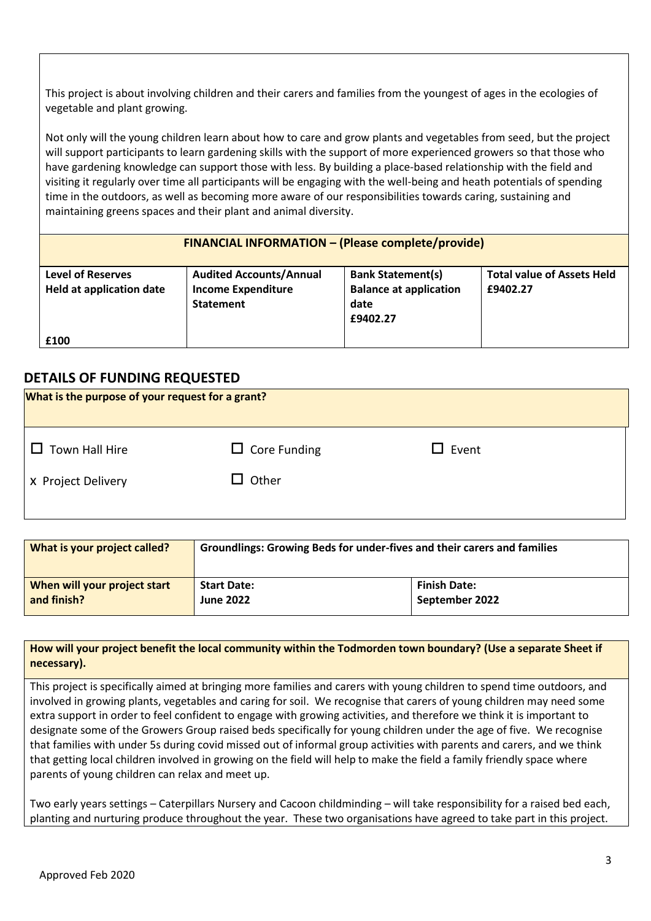This project is about involving children and their carers and families from the youngest of ages in the ecologies of vegetable and plant growing.

Not only will the young children learn about how to care and grow plants and vegetables from seed, but the project will support participants to learn gardening skills with the support of more experienced growers so that those who have gardening knowledge can support those with less. By building a place-based relationship with the field and visiting it regularly over time all participants will be engaging with the well-being and heath potentials of spending time in the outdoors, as well as becoming more aware of our responsibilities towards caring, sustaining and maintaining greens spaces and their plant and animal diversity.

| <b>FINANCIAL INFORMATION - (Please complete/provide)</b>    |                                                                                 |                                                                               |                                               |
|-------------------------------------------------------------|---------------------------------------------------------------------------------|-------------------------------------------------------------------------------|-----------------------------------------------|
| <b>Level of Reserves</b><br><b>Held at application date</b> | <b>Audited Accounts/Annual</b><br><b>Income Expenditure</b><br><b>Statement</b> | <b>Bank Statement(s)</b><br><b>Balance at application</b><br>date<br>£9402.27 | <b>Total value of Assets Held</b><br>£9402.27 |
| £100                                                        |                                                                                 |                                                                               |                                               |

## **DETAILS OF FUNDING REQUESTED**

| What is the purpose of your request for a grant? |                     |              |  |
|--------------------------------------------------|---------------------|--------------|--|
| Town Hall Hire<br>$\perp$                        | $\Box$ Core Funding | $\Box$ Event |  |
| X Project Delivery                               | $\square$ Other     |              |  |
|                                                  |                     |              |  |

| What is your project called? | Groundlings: Growing Beds for under-fives and their carers and families |                     |
|------------------------------|-------------------------------------------------------------------------|---------------------|
| When will your project start | <b>Start Date:</b>                                                      | <b>Finish Date:</b> |
| and finish?                  | <b>June 2022</b>                                                        | September 2022      |

#### **How will your project benefit the local community within the Todmorden town boundary? (Use a separate Sheet if necessary).**

This project is specifically aimed at bringing more families and carers with young children to spend time outdoors, and involved in growing plants, vegetables and caring for soil. We recognise that carers of young children may need some extra support in order to feel confident to engage with growing activities, and therefore we think it is important to designate some of the Growers Group raised beds specifically for young children under the age of five. We recognise that families with under 5s during covid missed out of informal group activities with parents and carers, and we think that getting local children involved in growing on the field will help to make the field a family friendly space where parents of young children can relax and meet up.

Two early years settings – Caterpillars Nursery and Cacoon childminding – will take responsibility for a raised bed each, planting and nurturing produce throughout the year. These two organisations have agreed to take part in this project.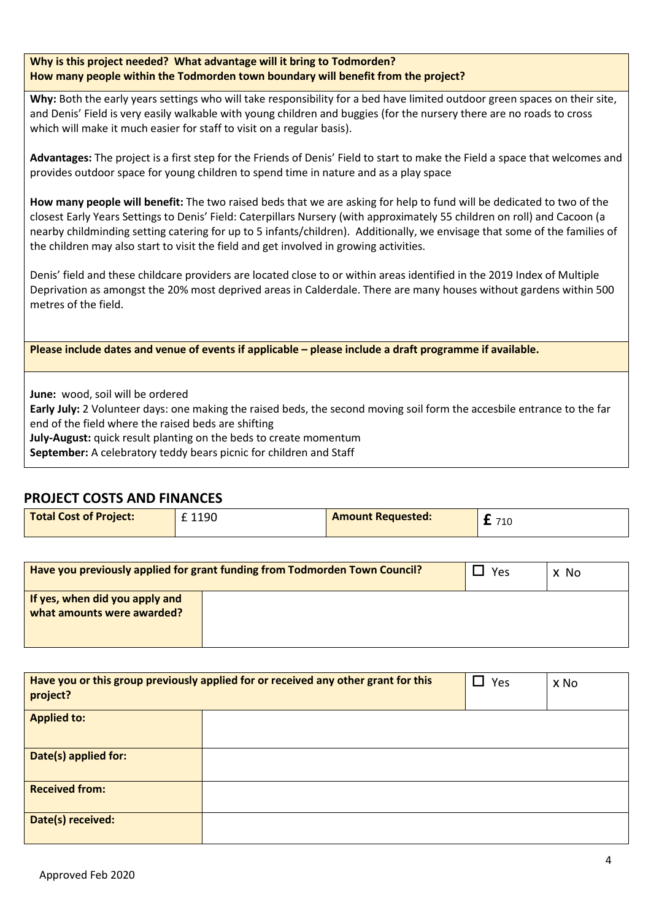| Why is this project needed? What advantage will it bring to Todmorden?            |
|-----------------------------------------------------------------------------------|
| How many people within the Todmorden town boundary will benefit from the project? |

**Why:** Both the early years settings who will take responsibility for a bed have limited outdoor green spaces on their site, and Denis' Field is very easily walkable with young children and buggies (for the nursery there are no roads to cross which will make it much easier for staff to visit on a regular basis).

**Advantages:** The project is a first step for the Friends of Denis' Field to start to make the Field a space that welcomes and provides outdoor space for young children to spend time in nature and as a play space

**How many people will benefit:** The two raised beds that we are asking for help to fund will be dedicated to two of the closest Early Years Settings to Denis' Field: Caterpillars Nursery (with approximately 55 children on roll) and Cacoon (a nearby childminding setting catering for up to 5 infants/children). Additionally, we envisage that some of the families of the children may also start to visit the field and get involved in growing activities.

Denis' field and these childcare providers are located close to or within areas identified in the 2019 Index of Multiple Deprivation as amongst the 20% most deprived areas in Calderdale. There are many houses without gardens within 500 metres of the field.

**Please include dates and venue of events if applicable – please include a draft programme if available.**

**June:** wood, soil will be ordered

**Early July:** 2 Volunteer days: one making the raised beds, the second moving soil form the accesbile entrance to the far end of the field where the raised beds are shifting

**July-August:** quick result planting on the beds to create momentum

**September:** A celebratory teddy bears picnic for children and Staff

#### **PROJECT COSTS AND FINANCES**

| <b>Total Cost of Project:</b> | £ 1190 | <b>Amount Requested:</b> | 710 |
|-------------------------------|--------|--------------------------|-----|
|                               |        |                          |     |

| Have you previously applied for grant funding from Todmorden Town Council? |  | Yes | X No |
|----------------------------------------------------------------------------|--|-----|------|
| If yes, when did you apply and<br>what amounts were awarded?               |  |     |      |

| project?              | Have you or this group previously applied for or received any other grant for this | $\Box$ Yes | x No |
|-----------------------|------------------------------------------------------------------------------------|------------|------|
| <b>Applied to:</b>    |                                                                                    |            |      |
| Date(s) applied for:  |                                                                                    |            |      |
| <b>Received from:</b> |                                                                                    |            |      |
| Date(s) received:     |                                                                                    |            |      |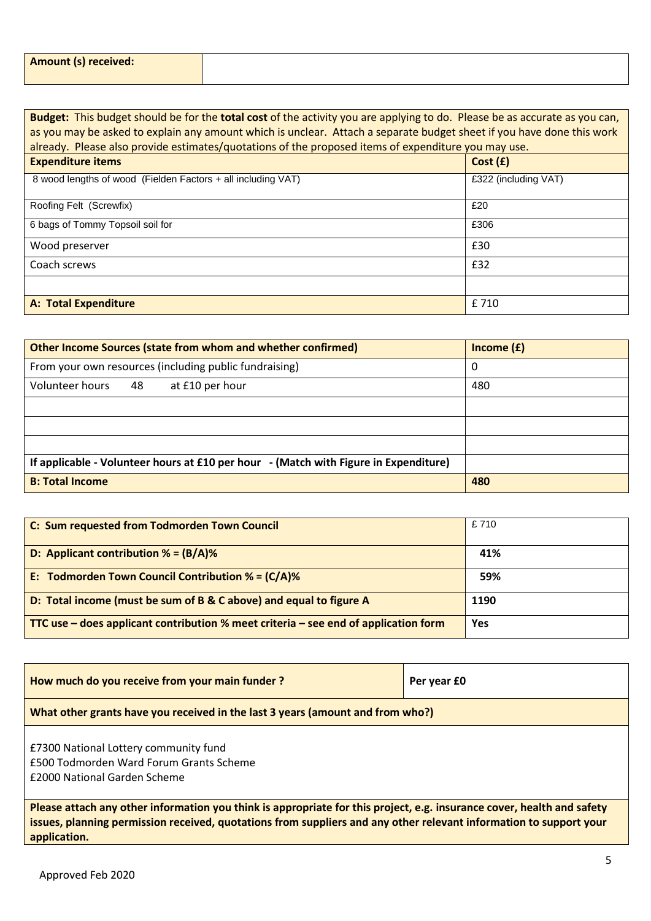| <b>Amount (s) received:</b> |  |
|-----------------------------|--|
|                             |  |

**Budget:** This budget should be for the **total cost** of the activity you are applying to do. Please be as accurate as you can, as you may be asked to explain any amount which is unclear. Attach a separate budget sheet if you have done this work already. Please also provide estimates/quotations of the proposed items of expenditure you may use.

| <b>Expenditure items</b>                                     | Cost(f)              |
|--------------------------------------------------------------|----------------------|
| 8 wood lengths of wood (Fielden Factors + all including VAT) | £322 (including VAT) |
| Roofing Felt (Screwfix)                                      | £20                  |
| 6 bags of Tommy Topsoil soil for                             | £306                 |
| Wood preserver                                               | £30                  |
| Coach screws                                                 | £32                  |
|                                                              |                      |
| <b>A: Total Expenditure</b>                                  | £ 710                |

| <b>Other Income Sources (state from whom and whether confirmed)</b>                  | Income $(f)$ |
|--------------------------------------------------------------------------------------|--------------|
| From your own resources (including public fundraising)                               | 0            |
| Volunteer hours<br>48<br>at £10 per hour                                             | 480          |
|                                                                                      |              |
|                                                                                      |              |
|                                                                                      |              |
| If applicable - Volunteer hours at £10 per hour - (Match with Figure in Expenditure) |              |
| <b>B: Total Income</b>                                                               | 480          |

| C: Sum requested from Todmorden Town Council                                        | £710 |
|-------------------------------------------------------------------------------------|------|
| D: Applicant contribution $% = (B/A)$ %                                             | 41%  |
| E: Todmorden Town Council Contribution % = $(C/A)$ %                                | 59%  |
| D: Total income (must be sum of B & C above) and equal to figure A                  | 1190 |
| TTC use – does applicant contribution % meet criteria – see end of application form | Yes  |

| How much do you receive from your main funder?                                                                                                                                                                                                               | Per year £0 |  |
|--------------------------------------------------------------------------------------------------------------------------------------------------------------------------------------------------------------------------------------------------------------|-------------|--|
| What other grants have you received in the last 3 years (amount and from who?)                                                                                                                                                                               |             |  |
| £7300 National Lottery community fund<br>£500 Todmorden Ward Forum Grants Scheme<br>£2000 National Garden Scheme                                                                                                                                             |             |  |
| Please attach any other information you think is appropriate for this project, e.g. insurance cover, health and safety<br>issues, planning permission received, quotations from suppliers and any other relevant information to support your<br>application. |             |  |